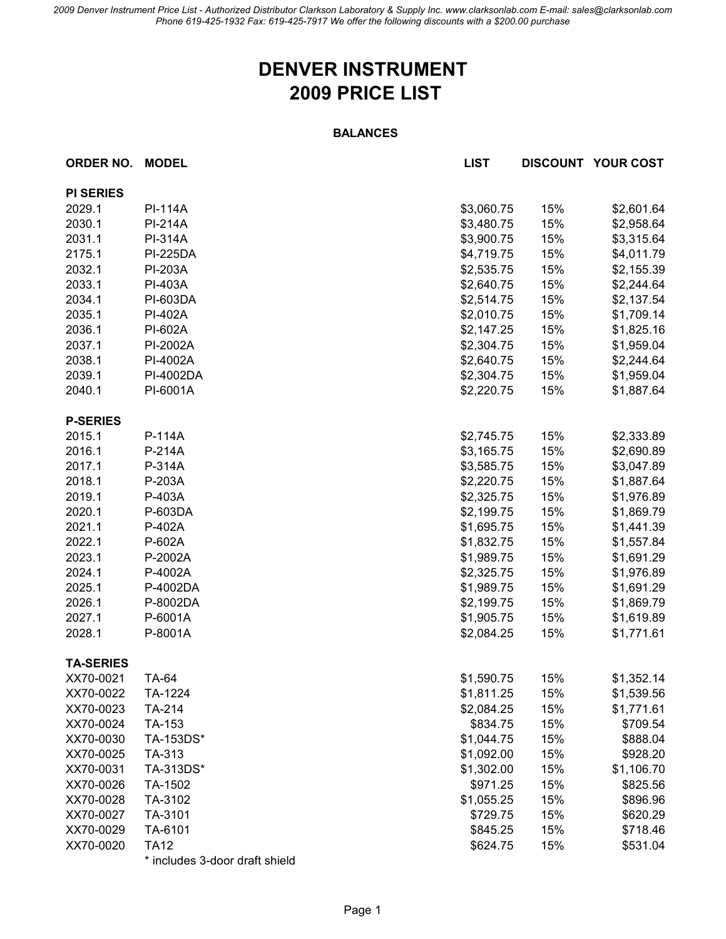*2009 Denver Instrument Price List - Authorized Distributor Clarkson Laboratory & Supply Inc. www.clarksonlab.com E-mail: sales@clarksonlab.com Phone 619-425-1932 Fax: 619-425-7917 We offer the following discounts with a \$200.00 purchase*

## **DENVER INSTRUMENT 2009 PRICE LIST**

## **BALANCES**

| <b>ORDER NO.</b> | <b>MODEL</b>                   | <b>LIST</b> |     | <b>DISCOUNT YOUR COST</b> |
|------------------|--------------------------------|-------------|-----|---------------------------|
| <b>PI SERIES</b> |                                |             |     |                           |
| 2029.1           | <b>PI-114A</b>                 | \$3,060.75  | 15% | \$2,601.64                |
| 2030.1           | <b>PI-214A</b>                 | \$3,480.75  | 15% | \$2,958.64                |
| 2031.1           | <b>PI-314A</b>                 | \$3,900.75  | 15% | \$3,315.64                |
| 2175.1           | <b>PI-225DA</b>                | \$4,719.75  | 15% | \$4,011.79                |
| 2032.1           | <b>PI-203A</b>                 | \$2,535.75  | 15% | \$2,155.39                |
| 2033.1           | PI-403A                        | \$2,640.75  | 15% | \$2,244.64                |
| 2034.1           | PI-603DA                       | \$2,514.75  | 15% | \$2,137.54                |
| 2035.1           | PI-402A                        | \$2,010.75  | 15% | \$1,709.14                |
| 2036.1           | PI-602A                        | \$2,147.25  | 15% | \$1,825.16                |
| 2037.1           | PI-2002A                       | \$2,304.75  | 15% | \$1,959.04                |
| 2038.1           | PI-4002A                       | \$2,640.75  | 15% | \$2,244.64                |
| 2039.1           | PI-4002DA                      | \$2,304.75  | 15% | \$1,959.04                |
| 2040.1           | PI-6001A                       | \$2,220.75  | 15% | \$1,887.64                |
|                  |                                |             |     |                           |
| <b>P-SERIES</b>  |                                |             |     |                           |
| 2015.1           | P-114A                         | \$2,745.75  | 15% | \$2,333.89                |
| 2016.1           | P-214A                         | \$3,165.75  | 15% | \$2,690.89                |
| 2017.1           | P-314A                         | \$3,585.75  | 15% | \$3,047.89                |
| 2018.1           | P-203A                         | \$2,220.75  | 15% | \$1,887.64                |
| 2019.1           | P-403A                         | \$2,325.75  | 15% | \$1,976.89                |
| 2020.1           | P-603DA                        | \$2,199.75  | 15% | \$1,869.79                |
| 2021.1           | P-402A                         | \$1,695.75  | 15% | \$1,441.39                |
| 2022.1           | P-602A                         | \$1,832.75  | 15% | \$1,557.84                |
| 2023.1           | P-2002A                        | \$1,989.75  | 15% | \$1,691.29                |
| 2024.1           | P-4002A                        | \$2,325.75  | 15% | \$1,976.89                |
| 2025.1           | P-4002DA                       | \$1,989.75  | 15% | \$1,691.29                |
| 2026.1           | P-8002DA                       | \$2,199.75  | 15% | \$1,869.79                |
| 2027.1           | P-6001A                        | \$1,905.75  | 15% | \$1,619.89                |
| 2028.1           | P-8001A                        | \$2,084.25  | 15% | \$1,771.61                |
| <b>TA-SERIES</b> |                                |             |     |                           |
| XX70-0021        | TA-64                          | \$1,590.75  | 15% | \$1,352.14                |
| XX70-0022        | TA-1224                        | \$1,811.25  | 15% | \$1,539.56                |
| XX70-0023        | TA-214                         | \$2,084.25  | 15% | \$1,771.61                |
| XX70-0024        | TA-153                         | \$834.75    | 15% | \$709.54                  |
| XX70-0030        | TA-153DS*                      | \$1,044.75  | 15% | \$888.04                  |
| XX70-0025        | TA-313                         | \$1,092.00  | 15% | \$928.20                  |
| XX70-0031        | TA-313DS*                      | \$1,302.00  | 15% | \$1,106.70                |
| XX70-0026        | TA-1502                        | \$971.25    | 15% | \$825.56                  |
| XX70-0028        | TA-3102                        | \$1,055.25  | 15% | \$896.96                  |
| XX70-0027        | TA-3101                        | \$729.75    | 15% | \$620.29                  |
| XX70-0029        | TA-6101                        | \$845.25    | 15% | \$718.46                  |
| XX70-0020        | <b>TA12</b>                    | \$624.75    | 15% | \$531.04                  |
|                  | * includes 3-door draft shield |             |     |                           |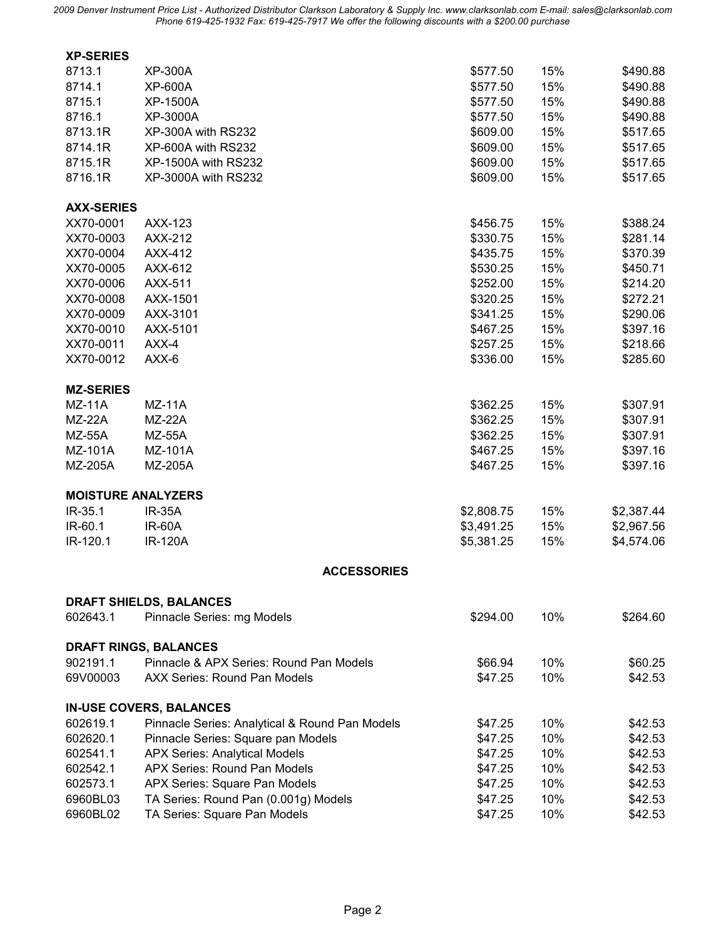*2009 Denver Instrument Price List - Authorized Distributor Clarkson Laboratory & Supply Inc. www.clarksonlab.com E-mail: sales@clarksonlab.com Phone 619-425-1932 Fax: 619-425-7917 We offer the following discounts with a \$200.00 purchase*

| <b>XP-SERIES</b>          |                                                |            |     |            |
|---------------------------|------------------------------------------------|------------|-----|------------|
| 8713.1                    | <b>XP-300A</b>                                 | \$577.50   | 15% | \$490.88   |
| 8714.1                    | <b>XP-600A</b>                                 | \$577.50   | 15% | \$490.88   |
| 8715.1                    | <b>XP-1500A</b>                                | \$577.50   | 15% | \$490.88   |
| 8716.1                    | XP-3000A                                       | \$577.50   | 15% | \$490.88   |
| 8713.1R                   | XP-300A with RS232                             | \$609.00   | 15% | \$517.65   |
| 8714.1R                   | XP-600A with RS232                             | \$609.00   | 15% | \$517.65   |
| 8715.1R                   | <b>XP-1500A with RS232</b>                     | \$609.00   | 15% | \$517.65   |
| 8716.1R                   | XP-3000A with RS232                            | \$609.00   | 15% | \$517.65   |
| <b>AXX-SERIES</b>         |                                                |            |     |            |
| XX70-0001                 | AXX-123                                        | \$456.75   | 15% | \$388.24   |
| XX70-0003                 | AXX-212                                        | \$330.75   | 15% | \$281.14   |
| XX70-0004                 | AXX-412                                        | \$435.75   | 15% | \$370.39   |
| XX70-0005                 | AXX-612                                        | \$530.25   | 15% | \$450.71   |
| XX70-0006                 | AXX-511                                        | \$252.00   | 15% | \$214.20   |
| XX70-0008                 | AXX-1501                                       | \$320.25   | 15% | \$272.21   |
| XX70-0009                 | AXX-3101                                       | \$341.25   | 15% | \$290.06   |
| XX70-0010                 | AXX-5101                                       | \$467.25   | 15% | \$397.16   |
| XX70-0011                 | AXX-4                                          | \$257.25   | 15% | \$218.66   |
| XX70-0012                 | $AXX-6$                                        | \$336.00   | 15% | \$285.60   |
| <b>MZ-SERIES</b>          |                                                |            |     |            |
| $MZ-11A$                  | $MZ-11A$                                       | \$362.25   | 15% | \$307.91   |
| $MZ-22A$                  | <b>MZ-22A</b>                                  | \$362.25   | 15% | \$307.91   |
| <b>MZ-55A</b>             | <b>MZ-55A</b>                                  | \$362.25   | 15% | \$307.91   |
| MZ-101A                   | MZ-101A                                        | \$467.25   | 15% | \$397.16   |
| MZ-205A                   | MZ-205A                                        | \$467.25   | 15% | \$397.16   |
| <b>MOISTURE ANALYZERS</b> |                                                |            |     |            |
| IR-35.1                   | <b>IR-35A</b>                                  | \$2,808.75 | 15% | \$2,387.44 |
| IR-60.1                   | <b>IR-60A</b>                                  | \$3,491.25 | 15% | \$2,967.56 |
| IR-120.1                  | <b>IR-120A</b>                                 | \$5,381.25 | 15% | \$4,574.06 |
|                           | <b>ACCESSORIES</b>                             |            |     |            |
|                           | <b>DRAFT SHIELDS, BALANCES</b>                 |            |     |            |
| 602643.1                  | Pinnacle Series: mg Models                     | \$294.00   | 10% | \$264.60   |
|                           | <b>DRAFT RINGS, BALANCES</b>                   |            |     |            |
| 902191.1                  | Pinnacle & APX Series: Round Pan Models        | \$66.94    | 10% | \$60.25    |
| 69V00003                  | <b>AXX Series: Round Pan Models</b>            | \$47.25    | 10% | \$42.53    |
|                           | <b>IN-USE COVERS, BALANCES</b>                 |            |     |            |
| 602619.1                  | Pinnacle Series: Analytical & Round Pan Models | \$47.25    | 10% | \$42.53    |
| 602620.1                  | Pinnacle Series: Square pan Models             | \$47.25    | 10% | \$42.53    |
| 602541.1                  | <b>APX Series: Analytical Models</b>           | \$47.25    | 10% | \$42.53    |
| 602542.1                  | <b>APX Series: Round Pan Models</b>            | \$47.25    | 10% | \$42.53    |
| 602573.1                  | APX Series: Square Pan Models                  | \$47.25    | 10% | \$42.53    |
| 6960BL03                  | TA Series: Round Pan (0.001g) Models           | \$47.25    | 10% | \$42.53    |
| 6960BL02                  | TA Series: Square Pan Models                   | \$47.25    | 10% | \$42.53    |